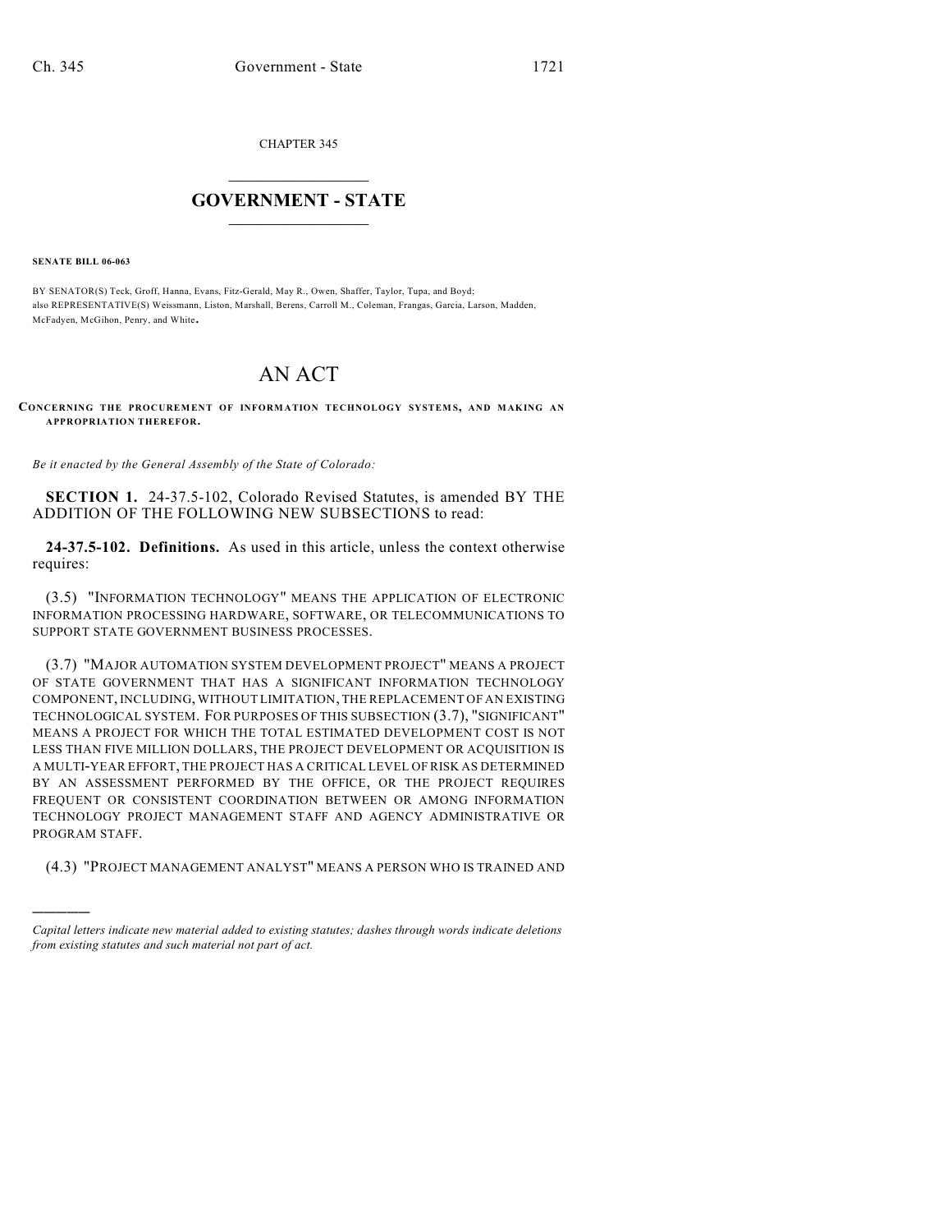CHAPTER 345

## $\mathcal{L}_\text{max}$  . The set of the set of the set of the set of the set of the set of the set of the set of the set of the set of the set of the set of the set of the set of the set of the set of the set of the set of the set **GOVERNMENT - STATE**  $\_$   $\_$   $\_$   $\_$   $\_$   $\_$   $\_$   $\_$   $\_$

**SENATE BILL 06-063**

)))))

BY SENATOR(S) Teck, Groff, Hanna, Evans, Fitz-Gerald, May R., Owen, Shaffer, Taylor, Tupa, and Boyd; also REPRESENTATIVE(S) Weissmann, Liston, Marshall, Berens, Carroll M., Coleman, Frangas, Garcia, Larson, Madden, McFadyen, McGihon, Penry, and White.

## AN ACT

**CONCERNING THE PROCUREM ENT OF INFORM ATION TECHNOLOGY SYSTEM S, AND MAKING AN APPROPRIATION THEREFOR.**

*Be it enacted by the General Assembly of the State of Colorado:*

**SECTION 1.** 24-37.5-102, Colorado Revised Statutes, is amended BY THE ADDITION OF THE FOLLOWING NEW SUBSECTIONS to read:

**24-37.5-102. Definitions.** As used in this article, unless the context otherwise requires:

(3.5) "INFORMATION TECHNOLOGY" MEANS THE APPLICATION OF ELECTRONIC INFORMATION PROCESSING HARDWARE, SOFTWARE, OR TELECOMMUNICATIONS TO SUPPORT STATE GOVERNMENT BUSINESS PROCESSES.

(3.7) "MAJOR AUTOMATION SYSTEM DEVELOPMENT PROJECT" MEANS A PROJECT OF STATE GOVERNMENT THAT HAS A SIGNIFICANT INFORMATION TECHNOLOGY COMPONENT, INCLUDING, WITHOUT LIMITATION, THE REPLACEMENT OF AN EXISTING TECHNOLOGICAL SYSTEM. FOR PURPOSES OF THIS SUBSECTION (3.7), "SIGNIFICANT" MEANS A PROJECT FOR WHICH THE TOTAL ESTIMATED DEVELOPMENT COST IS NOT LESS THAN FIVE MILLION DOLLARS, THE PROJECT DEVELOPMENT OR ACQUISITION IS A MULTI-YEAR EFFORT, THE PROJECT HAS A CRITICAL LEVEL OF RISK AS DETERMINED BY AN ASSESSMENT PERFORMED BY THE OFFICE, OR THE PROJECT REQUIRES FREQUENT OR CONSISTENT COORDINATION BETWEEN OR AMONG INFORMATION TECHNOLOGY PROJECT MANAGEMENT STAFF AND AGENCY ADMINISTRATIVE OR PROGRAM STAFF.

(4.3) "PROJECT MANAGEMENT ANALYST" MEANS A PERSON WHO IS TRAINED AND

*Capital letters indicate new material added to existing statutes; dashes through words indicate deletions from existing statutes and such material not part of act.*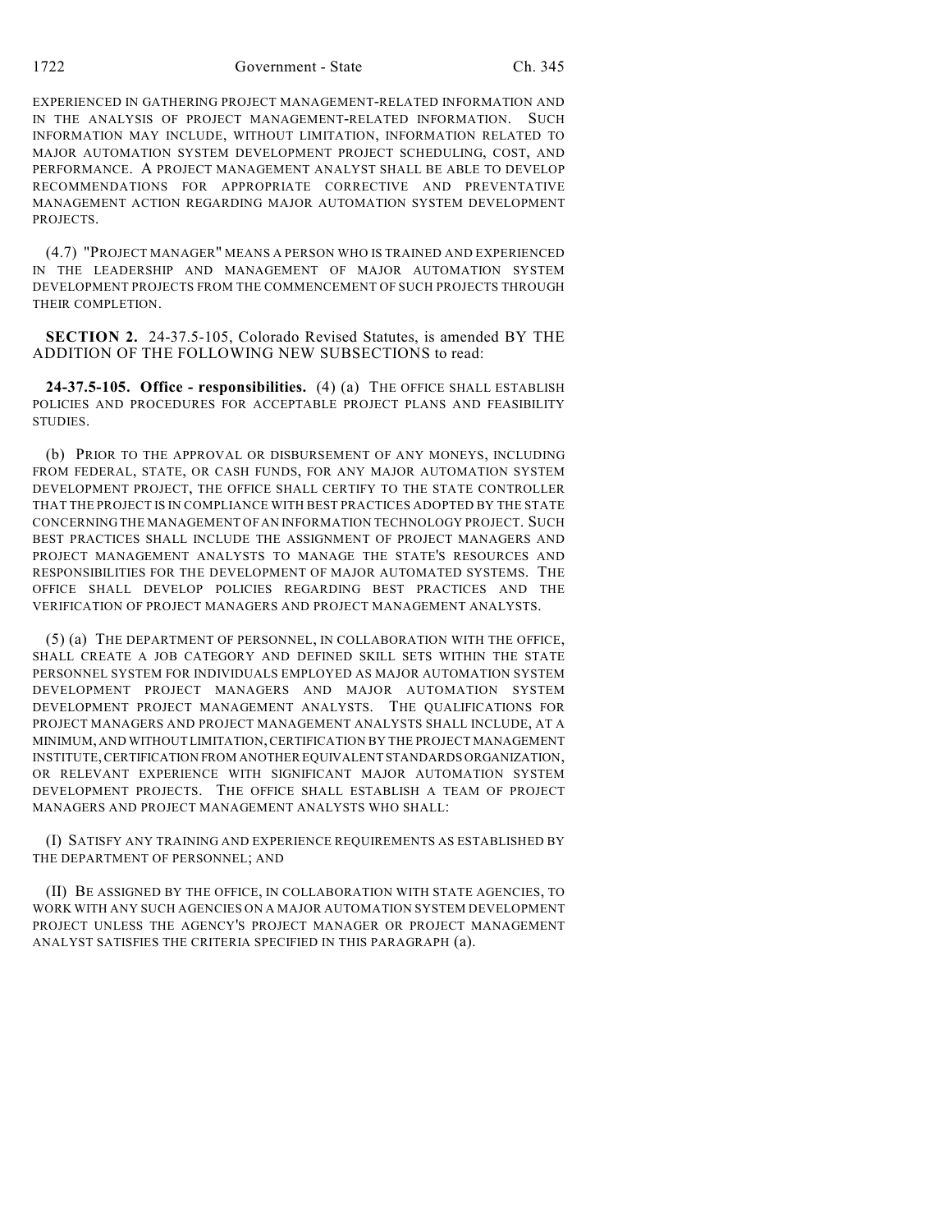1722 Government - State Ch. 345

EXPERIENCED IN GATHERING PROJECT MANAGEMENT-RELATED INFORMATION AND IN THE ANALYSIS OF PROJECT MANAGEMENT-RELATED INFORMATION. SUCH INFORMATION MAY INCLUDE, WITHOUT LIMITATION, INFORMATION RELATED TO MAJOR AUTOMATION SYSTEM DEVELOPMENT PROJECT SCHEDULING, COST, AND PERFORMANCE. A PROJECT MANAGEMENT ANALYST SHALL BE ABLE TO DEVELOP RECOMMENDATIONS FOR APPROPRIATE CORRECTIVE AND PREVENTATIVE MANAGEMENT ACTION REGARDING MAJOR AUTOMATION SYSTEM DEVELOPMENT **PROJECTS** 

(4.7) "PROJECT MANAGER" MEANS A PERSON WHO IS TRAINED AND EXPERIENCED IN THE LEADERSHIP AND MANAGEMENT OF MAJOR AUTOMATION SYSTEM DEVELOPMENT PROJECTS FROM THE COMMENCEMENT OF SUCH PROJECTS THROUGH THEIR COMPLETION.

**SECTION 2.** 24-37.5-105, Colorado Revised Statutes, is amended BY THE ADDITION OF THE FOLLOWING NEW SUBSECTIONS to read:

**24-37.5-105. Office - responsibilities.** (4) (a) THE OFFICE SHALL ESTABLISH POLICIES AND PROCEDURES FOR ACCEPTABLE PROJECT PLANS AND FEASIBILITY STUDIES.

(b) PRIOR TO THE APPROVAL OR DISBURSEMENT OF ANY MONEYS, INCLUDING FROM FEDERAL, STATE, OR CASH FUNDS, FOR ANY MAJOR AUTOMATION SYSTEM DEVELOPMENT PROJECT, THE OFFICE SHALL CERTIFY TO THE STATE CONTROLLER THAT THE PROJECT IS IN COMPLIANCE WITH BEST PRACTICES ADOPTED BY THE STATE CONCERNING THE MANAGEMENT OF AN INFORMATION TECHNOLOGY PROJECT. SUCH BEST PRACTICES SHALL INCLUDE THE ASSIGNMENT OF PROJECT MANAGERS AND PROJECT MANAGEMENT ANALYSTS TO MANAGE THE STATE'S RESOURCES AND RESPONSIBILITIES FOR THE DEVELOPMENT OF MAJOR AUTOMATED SYSTEMS. THE OFFICE SHALL DEVELOP POLICIES REGARDING BEST PRACTICES AND THE VERIFICATION OF PROJECT MANAGERS AND PROJECT MANAGEMENT ANALYSTS.

(5) (a) THE DEPARTMENT OF PERSONNEL, IN COLLABORATION WITH THE OFFICE, SHALL CREATE A JOB CATEGORY AND DEFINED SKILL SETS WITHIN THE STATE PERSONNEL SYSTEM FOR INDIVIDUALS EMPLOYED AS MAJOR AUTOMATION SYSTEM DEVELOPMENT PROJECT MANAGERS AND MAJOR AUTOMATION SYSTEM DEVELOPMENT PROJECT MANAGEMENT ANALYSTS. THE QUALIFICATIONS FOR PROJECT MANAGERS AND PROJECT MANAGEMENT ANALYSTS SHALL INCLUDE, AT A MINIMUM, AND WITHOUT LIMITATION, CERTIFICATION BY THE PROJECT MANAGEMENT INSTITUTE, CERTIFICATION FROM ANOTHER EQUIVALENT STANDARDS ORGANIZATION, OR RELEVANT EXPERIENCE WITH SIGNIFICANT MAJOR AUTOMATION SYSTEM DEVELOPMENT PROJECTS. THE OFFICE SHALL ESTABLISH A TEAM OF PROJECT MANAGERS AND PROJECT MANAGEMENT ANALYSTS WHO SHALL:

(I) SATISFY ANY TRAINING AND EXPERIENCE REQUIREMENTS AS ESTABLISHED BY THE DEPARTMENT OF PERSONNEL; AND

(II) BE ASSIGNED BY THE OFFICE, IN COLLABORATION WITH STATE AGENCIES, TO WORK WITH ANY SUCH AGENCIES ON A MAJOR AUTOMATION SYSTEM DEVELOPMENT PROJECT UNLESS THE AGENCY'S PROJECT MANAGER OR PROJECT MANAGEMENT ANALYST SATISFIES THE CRITERIA SPECIFIED IN THIS PARAGRAPH (a).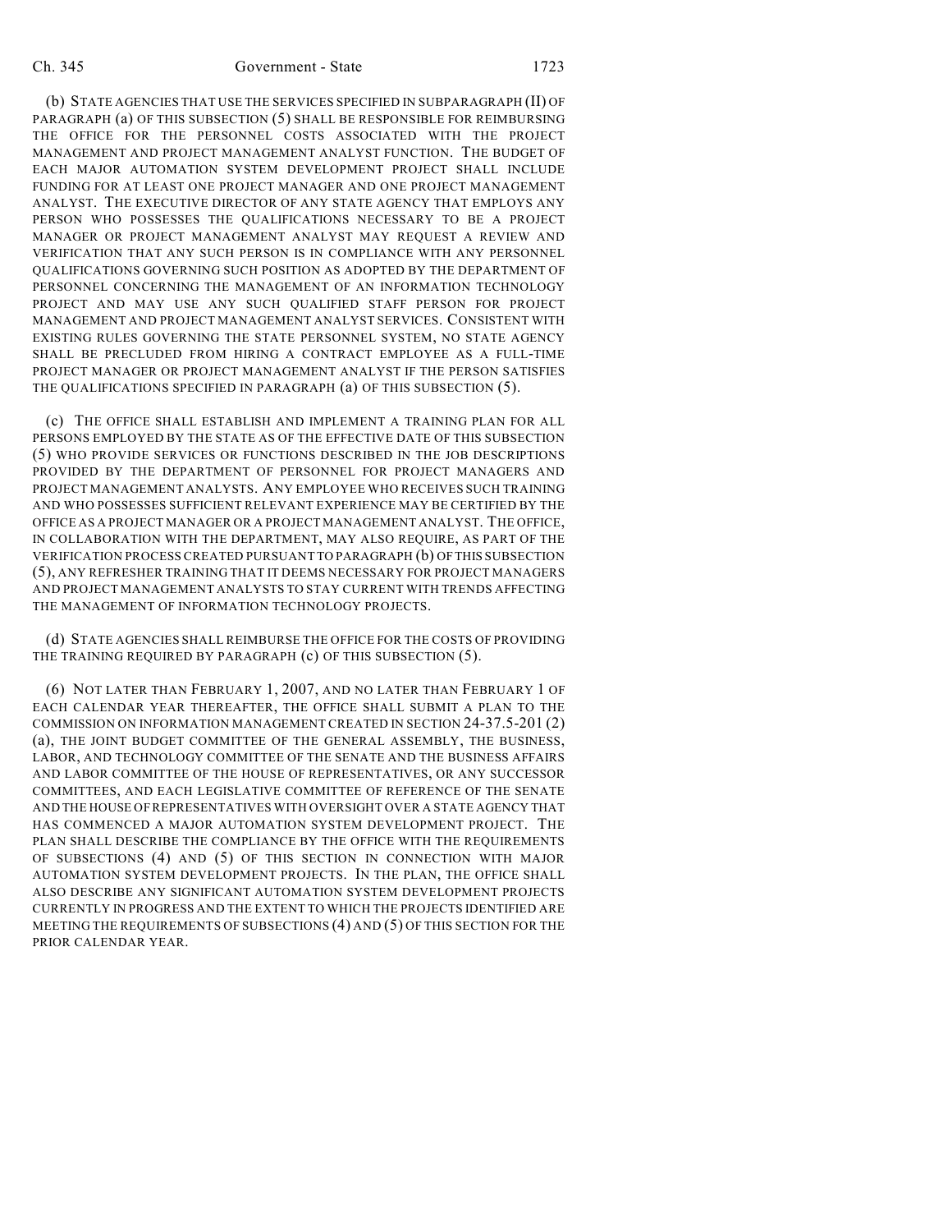## Ch. 345 Government - State 1723

(b) STATE AGENCIES THAT USE THE SERVICES SPECIFIED IN SUBPARAGRAPH (II) OF PARAGRAPH (a) OF THIS SUBSECTION (5) SHALL BE RESPONSIBLE FOR REIMBURSING THE OFFICE FOR THE PERSONNEL COSTS ASSOCIATED WITH THE PROJECT MANAGEMENT AND PROJECT MANAGEMENT ANALYST FUNCTION. THE BUDGET OF EACH MAJOR AUTOMATION SYSTEM DEVELOPMENT PROJECT SHALL INCLUDE FUNDING FOR AT LEAST ONE PROJECT MANAGER AND ONE PROJECT MANAGEMENT ANALYST. THE EXECUTIVE DIRECTOR OF ANY STATE AGENCY THAT EMPLOYS ANY PERSON WHO POSSESSES THE QUALIFICATIONS NECESSARY TO BE A PROJECT MANAGER OR PROJECT MANAGEMENT ANALYST MAY REQUEST A REVIEW AND VERIFICATION THAT ANY SUCH PERSON IS IN COMPLIANCE WITH ANY PERSONNEL QUALIFICATIONS GOVERNING SUCH POSITION AS ADOPTED BY THE DEPARTMENT OF PERSONNEL CONCERNING THE MANAGEMENT OF AN INFORMATION TECHNOLOGY PROJECT AND MAY USE ANY SUCH QUALIFIED STAFF PERSON FOR PROJECT MANAGEMENT AND PROJECT MANAGEMENT ANALYST SERVICES. CONSISTENT WITH EXISTING RULES GOVERNING THE STATE PERSONNEL SYSTEM, NO STATE AGENCY SHALL BE PRECLUDED FROM HIRING A CONTRACT EMPLOYEE AS A FULL-TIME PROJECT MANAGER OR PROJECT MANAGEMENT ANALYST IF THE PERSON SATISFIES THE QUALIFICATIONS SPECIFIED IN PARAGRAPH (a) OF THIS SUBSECTION (5).

(c) THE OFFICE SHALL ESTABLISH AND IMPLEMENT A TRAINING PLAN FOR ALL PERSONS EMPLOYED BY THE STATE AS OF THE EFFECTIVE DATE OF THIS SUBSECTION (5) WHO PROVIDE SERVICES OR FUNCTIONS DESCRIBED IN THE JOB DESCRIPTIONS PROVIDED BY THE DEPARTMENT OF PERSONNEL FOR PROJECT MANAGERS AND PROJECT MANAGEMENT ANALYSTS. ANY EMPLOYEE WHO RECEIVES SUCH TRAINING AND WHO POSSESSES SUFFICIENT RELEVANT EXPERIENCE MAY BE CERTIFIED BY THE OFFICE AS A PROJECT MANAGER OR A PROJECT MANAGEMENT ANALYST. THE OFFICE, IN COLLABORATION WITH THE DEPARTMENT, MAY ALSO REQUIRE, AS PART OF THE VERIFICATION PROCESS CREATED PURSUANT TO PARAGRAPH (b) OF THIS SUBSECTION (5), ANY REFRESHER TRAINING THAT IT DEEMS NECESSARY FOR PROJECT MANAGERS AND PROJECT MANAGEMENT ANALYSTS TO STAY CURRENT WITH TRENDS AFFECTING THE MANAGEMENT OF INFORMATION TECHNOLOGY PROJECTS.

(d) STATE AGENCIES SHALL REIMBURSE THE OFFICE FOR THE COSTS OF PROVIDING THE TRAINING REQUIRED BY PARAGRAPH (c) OF THIS SUBSECTION (5).

(6) NOT LATER THAN FEBRUARY 1, 2007, AND NO LATER THAN FEBRUARY 1 OF EACH CALENDAR YEAR THEREAFTER, THE OFFICE SHALL SUBMIT A PLAN TO THE COMMISSION ON INFORMATION MANAGEMENT CREATED IN SECTION 24-37.5-201 (2) (a), THE JOINT BUDGET COMMITTEE OF THE GENERAL ASSEMBLY, THE BUSINESS, LABOR, AND TECHNOLOGY COMMITTEE OF THE SENATE AND THE BUSINESS AFFAIRS AND LABOR COMMITTEE OF THE HOUSE OF REPRESENTATIVES, OR ANY SUCCESSOR COMMITTEES, AND EACH LEGISLATIVE COMMITTEE OF REFERENCE OF THE SENATE AND THE HOUSE OF REPRESENTATIVES WITH OVERSIGHT OVER A STATE AGENCY THAT HAS COMMENCED A MAJOR AUTOMATION SYSTEM DEVELOPMENT PROJECT. THE PLAN SHALL DESCRIBE THE COMPLIANCE BY THE OFFICE WITH THE REQUIREMENTS OF SUBSECTIONS (4) AND (5) OF THIS SECTION IN CONNECTION WITH MAJOR AUTOMATION SYSTEM DEVELOPMENT PROJECTS. IN THE PLAN, THE OFFICE SHALL ALSO DESCRIBE ANY SIGNIFICANT AUTOMATION SYSTEM DEVELOPMENT PROJECTS CURRENTLY IN PROGRESS AND THE EXTENT TO WHICH THE PROJECTS IDENTIFIED ARE MEETING THE REQUIREMENTS OF SUBSECTIONS (4) AND (5) OF THIS SECTION FOR THE PRIOR CALENDAR YEAR.